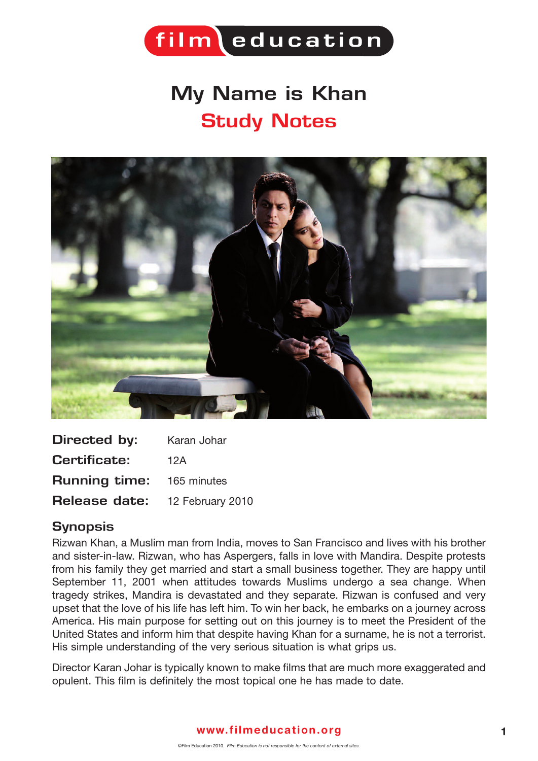

## **My Name is Khan Study Notes**



| Directed by:                     | Karan Johar |
|----------------------------------|-------------|
| <b>Certificate:</b>              | 12A         |
| <b>Running time:</b> 165 minutes |             |
| Release date: 12 February 2010   |             |

## **Synopsis**

Rizwan Khan, a Muslim man from India, moves to San Francisco and lives with his brother and sister-in-law. Rizwan, who has Aspergers, falls in love with Mandira. Despite protests from his family they get married and start a small business together. They are happy until September 11, 2001 when attitudes towards Muslims undergo a sea change. When tragedy strikes, Mandira is devastated and they separate. Rizwan is confused and very upset that the love of his life has left him. To win her back, he embarks on a journey across America. His main purpose for setting out on this journey is to meet the President of the United States and inform him that despite having Khan for a surname, he is not a terrorist. His simple understanding of the very serious situation is what grips us.

Director Karan Johar is typically known to make films that are much more exaggerated and opulent. This film is definitely the most topical one he has made to date.